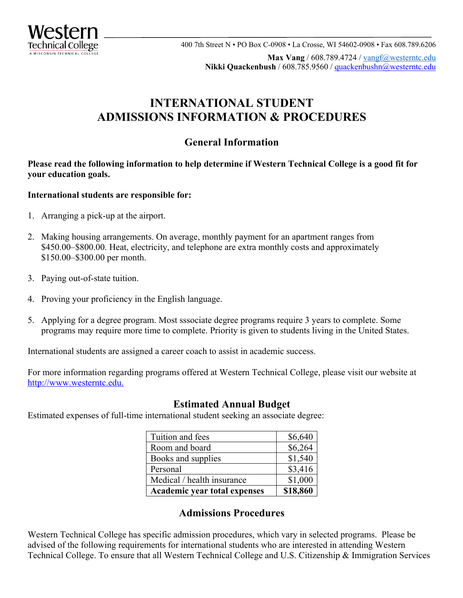

 400 7th Street N • PO Box C-0908 • La Crosse, WI 54602-0908 • Fax 608.789.6206 **Mester 11**<br>
<u>echnical college</u><br>
Wesconsin Fechnical college 400 7th Street N • PO Box C-0908 • La Crosse, WI 54602-0908 • Fax 608.789.62 **Max Vang** / 608.789.4724 / [vangf@westerntc.edu](mailto:vangf@westerntc.edu)  **Nikki Quackenbush** / 608.785.9560 / [quackenbushn@westerntc.edu](mailto:quackenbushn@westerntc.edu) 

# **ADMISSIONS INFORMATION & PROCEDURES INTERNATIONAL STUDENT**

## **General Information**

 **your education goals. Please read the following information to help determine if Western Technical College is a good fit for** 

#### **International students are responsible for:**

- 1. Arranging a pick-up at the airport.
- 2. Making housing arrangements. On average, monthly payment for an apartment ranges from \$[450.00–\\$800.00.](https://450.00�$800.00) Heat, electricity, and telephone are extra monthly costs and approximately \$[150.00–\\$300.00](https://150.00�$300.00) per month.
- 3. Paying out-of-state tuition.
- 4. Proving your proficiency in the English language.
- 5. Applying for a degree program. Most sssociate degree programs require 3 years to complete. Some programs may require more time to complete. Priority is given to students living in the United States.

International students are assigned a career coach to assist in academic success.

For more information regarding programs offered at Western Technical College, please visit our website at [http://www.westerntc.edu.](http://www.westerntc.edu)

### **Estimated Annual Budget**

Estimated expenses of full-time international student seeking an associate degree:

| Tuition and fees                    | \$6,640  |
|-------------------------------------|----------|
| Room and board                      | \$6,264  |
| Books and supplies                  | \$1,540  |
| Personal                            | \$3,416  |
| Medical / health insurance          | \$1,000  |
| <b>Academic year total expenses</b> | \$18,860 |

### **Admissions Procedures**

Western Technical College has specific admission procedures, which vary in selected programs. Please be advised of the following requirements for international students who are interested in attending Western Technical College. To ensure that all Western Technical College and U.S. Citizenship & Immigration Services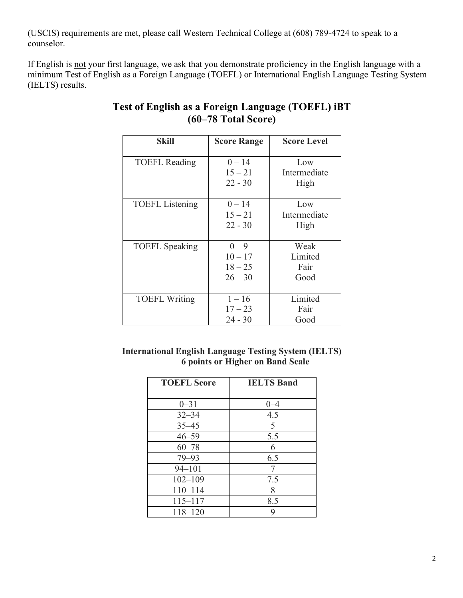(USCIS) requirements are met, please call Western Technical College at (608) 789-4724 to speak to a counselor.

If English is not your first language, we ask that you demonstrate proficiency in the English language with a (IELTS) results. minimum Test of English as a Foreign Language (TOEFL) or International English Language Testing System

| <b>Skill</b>           | <b>Score Range</b> | <b>Score Level</b> |
|------------------------|--------------------|--------------------|
| <b>TOEFL Reading</b>   | $0 - 14$           | Low                |
|                        | $15 - 21$          | Intermediate       |
|                        | $22 - 30$          | High               |
| <b>TOEFL</b> Listening | $0 - 14$           | Low                |
|                        | $15 - 21$          | Intermediate       |
|                        | $22 - 30$          | High               |
|                        |                    |                    |
| <b>TOEFL</b> Speaking  | $0 - 9$            | Weak               |
|                        | $10 - 17$          | Limited            |
|                        | $18 - 25$          | Fair               |
|                        | $26 - 30$          | Good               |
|                        |                    |                    |
| <b>TOEFL Writing</b>   | $1 - 16$           | Limited            |
|                        | $17 - 23$          | Fair               |
|                        | $24 - 30$          | Good               |

## **Test of English as a Foreign Language (TOEFL) iBT (60–78 Total Score)**

### **International English Language Testing System (IELTS) 6 points or Higher on Band Scale**

| <b>TOEFL Score</b> | <b>IELTS Band</b> |
|--------------------|-------------------|
|                    |                   |
| $0 - 31$           | $0 - 4$           |
| $32 - 34$          | 4.5               |
| $35 - 45$          | 5                 |
| $46 - 59$          | 5.5               |
| $60 - 78$          | 6                 |
| $79 - 93$          | 6.5               |
| $94 - 101$         | 7                 |
| $102 - 109$        | 7.5               |
| $110 - 114$        | 8                 |
| $115 - 117$        | 8.5               |
| $118 - 120$        | 9                 |